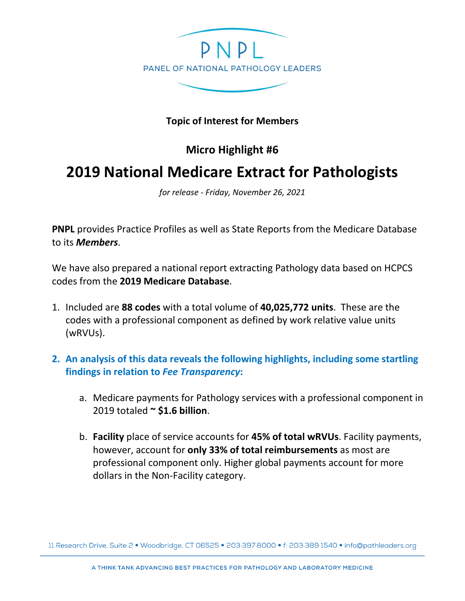

## **Topic of Interest for Members**

## **Micro Highlight #6**

## **2019 National Medicare Extract for Pathologists**

*for release - Friday, November 26, 2021*

**PNPL** provides Practice Profiles as well as State Reports from the Medicare Database to its *Members*.

We have also prepared a national report extracting Pathology data based on HCPCS codes from the **2019 Medicare Database**.

- 1. Included are **88 codes** with a total volume of **40,025,772 units**. These are the codes with a professional component as defined by work relative value units (wRVUs).
- **2. An analysis of this data reveals the following highlights, including some startling findings in relation to** *Fee Transparency***:**
	- a. Medicare payments for Pathology services with a professional component in 2019 totaled **~ \$1.6 billion**.
	- b. **Facility** place of service accounts for **45% of total wRVUs**. Facility payments, however, account for **only 33% of total reimbursements** as most are professional component only. Higher global payments account for more dollars in the Non-Facility category.

11 Research Drive, Suite 2 · Woodbridge, CT 06525 · 203:397:8000 · f: 203:389:1540 · info@pathleaders.org